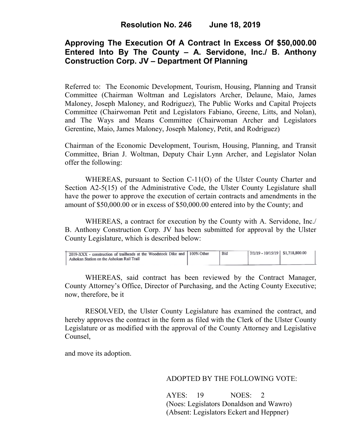# **Approving The Execution Of A Contract In Excess Of \$50,000.00 Entered Into By The County – A. Servidone, Inc./ B. Anthony Construction Corp. JV – Department Of Planning**

Referred to: The Economic Development, Tourism, Housing, Planning and Transit Committee (Chairman Woltman and Legislators Archer, Delaune, Maio, James Maloney, Joseph Maloney, and Rodriguez), The Public Works and Capital Projects Committee (Chairwoman Petit and Legislators Fabiano, Greene, Litts, and Nolan), and The Ways and Means Committee (Chairwoman Archer and Legislators Gerentine, Maio, James Maloney, Joseph Maloney, Petit, and Rodriguez)

Chairman of the Economic Development, Tourism, Housing, Planning, and Transit Committee, Brian J. Woltman, Deputy Chair Lynn Archer, and Legislator Nolan offer the following:

WHEREAS, pursuant to Section C-11(O) of the Ulster County Charter and Section A2-5(15) of the Administrative Code, the Ulster County Legislature shall have the power to approve the execution of certain contracts and amendments in the amount of \$50,000.00 or in excess of \$50,000.00 entered into by the County; and

WHEREAS, a contract for execution by the County with A. Servidone, Inc./ B. Anthony Construction Corp. JV has been submitted for approval by the Ulster County Legislature, which is described below:

| 2019-XXX - construction of trailheads at the Woodstock Dike and 100% Other<br>Ashokan Station on the Ashokan Rail Trail | Bid | 7/1/19 - 10/15/19   \$1,718,800.00 |  |
|-------------------------------------------------------------------------------------------------------------------------|-----|------------------------------------|--|
|                                                                                                                         |     |                                    |  |

WHEREAS, said contract has been reviewed by the Contract Manager, County Attorney's Office, Director of Purchasing, and the Acting County Executive; now, therefore, be it

RESOLVED, the Ulster County Legislature has examined the contract, and hereby approves the contract in the form as filed with the Clerk of the Ulster County Legislature or as modified with the approval of the County Attorney and Legislative Counsel,

and move its adoption.

## ADOPTED BY THE FOLLOWING VOTE:

AYES: 19 NOES: 2 (Noes: Legislators Donaldson and Wawro) (Absent: Legislators Eckert and Heppner)